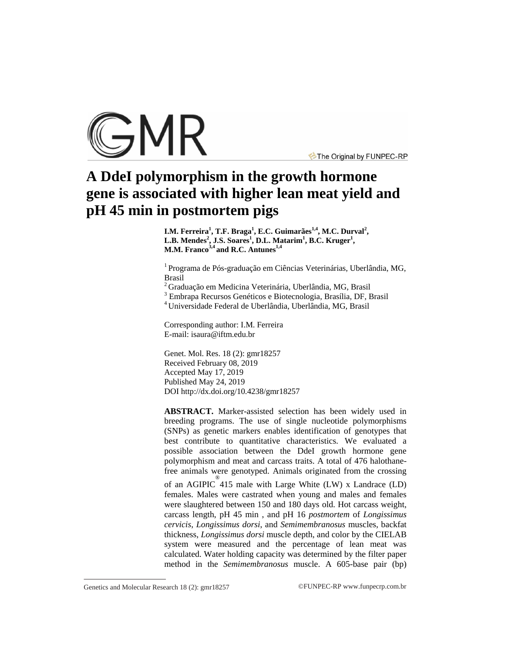

The Original by FUNPEC-RP

# **A DdeI polymorphism in the growth hormone gene is associated with higher lean meat yield and pH 45 min in postmortem pigs**

**I.M. Ferreira<sup>1</sup> , T.F. Braga<sup>1</sup> , E.C. Guimarães1,4, M.C. Durval<sup>2</sup> , L.B. Mendes<sup>2</sup> , J.S. Soares<sup>1</sup> , D.L. Matarim<sup>1</sup> , B.C. Kruger<sup>1</sup> , M.M. Franco3,4 and R.C. Antunes1,4**

<sup>1</sup> Programa de Pós-graduação em Ciências Veterinárias, Uberlândia, MG, Brasil

 $2$ Graduação em Medicina Veterinária, Uberlândia, MG, Brasil

<sup>3</sup> Embrapa Recursos Genéticos e Biotecnologia, Brasília, DF, Brasil

<sup>4</sup>Universidade Federal de Uberlândia, Uberlândia, MG, Brasil

Corresponding author: I.M. Ferreira E-mail: [isaura@iftm.edu.br](mailto:isaura@iftm.edu.br)

Genet. Mol. Res. 18 (2): gmr18257 Received February 08, 2019 Accepted May 17, 2019 Published May 24, 2019 DOI <http://dx.doi.org/10.4238/gmr18257>

**ABSTRACT.** Marker-assisted selection has been widely used in breeding programs. The use of single nucleotide polymorphisms (SNPs) as genetic markers enables identification of genotypes that best contribute to quantitative characteristics. We evaluated a possible association between the DdeI growth hormone gene polymorphism and meat and carcass traits. A total of 476 halothanefree animals were genotyped. Animals originated from the crossing of an AGIPIC ® 415 male with Large White (LW) x Landrace (LD) females. Males were castrated when young and males and females were slaughtered between 150 and 180 days old. Hot carcass weight, carcass length, pH 45 min , and pH 16 *postmortem* of *Longissimus cervicis*, *Longissimus dorsi*, and *Semimembranosus* muscles, backfat thickness, *Longissimus dorsi* muscle depth, and color by the CIELAB system were measured and the percentage of lean meat was calculated. Water holding capacity was determined by the filter paper method in the *Semimembranosus* muscle. A 605-base pair (bp)

Genetics and Molecular Research 18 (2):  $gmr18257$  ©FUNPEC-RP [www.funpecrp.com.br](http://www.funpecrp.com.br)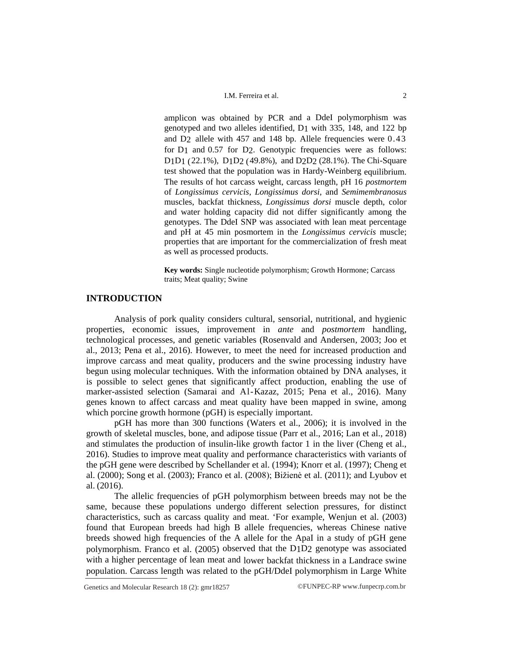#### I.M. Ferreira et al. 2

amplicon was obtained by PCR and a DdeI polymorphism was genotyped and two alleles identified, D1 with 335, 148, and 122 bp and D2 allele with 457 and 148 bp. Allele frequencies were 0.43 for D1 and 0.57 for D2. Genotypic frequencies were as follows: D1D1 (22.1%), D1D2 (49.8%), and D2D2 (28.1%). The Chi-Square test showed that the population was in Hardy-Weinberg equilibrium. The results of hot carcass weight, carcass length, pH 16 *postmortem*  of *Longissimus cervicis*, *Longissimus dorsi*, and *Semimembranosus*  muscles, backfat thickness, *Longissimus dorsi* muscle depth, color and water holding capacity did not differ significantly among the genotypes. The DdeI SNP was associated with lean meat percentage and pH at 45 min posmortem in the *Longissimus cervicis* muscle; properties that are important for the commercialization of fresh meat as well as processed products.

**Key words:** Single nucleotide polymorphism; Growth Hormone; Carcass traits; Meat quality; Swine

# **INTRODUCTION**

Analysis of pork quality considers cultural, sensorial, nutritional, and hygienic properties, economic issues, improvement in *ante* and *postmortem* handling, technological processes, and genetic variables (Rosenvald and Andersen*,* 2003; Joo et al., 2013; Pena et al., 2016). However, to meet the need for increased production and improve carcass and meat quality, producers and the swine processing industry have begun using molecular techniques. With the information obtained by DNA analyses, it is possible to select genes that significantly affect production, enabling the use of marker-assisted selection (Samarai and Al-Kazaz, 2015; Pena et al., 2016). Many genes known to affect carcass and meat quality have been mapped in swine, among which porcine growth hormone (pGH) is especially important.

pGH has more than 300 functions (Waters et al., 2006); it is involved in the growth of skeletal muscles, bone, and adipose tissue (Parr et al., 2016; Lan et al., 2018) and stimulates the production of insulin-like growth factor 1 in the liver (Cheng et al., 2016). Studies to improve meat quality and performance characteristics with variants of the pGH gene were described by Schellander et al. (1994); Knorr et al. (1997); Cheng et al. (2000); Song et al. (2003); Franco et al. (2008); Bižienė et al. (2011); and Lyubov et al. (2016).

The allelic frequencies of pGH polymorphism between breeds may not be the same, because these populations undergo different selection pressures, for distinct characteristics, such as carcass quality and meat. 'For example, Wenjun et al. (2003) found that European breeds had high B allele frequencies, whereas Chinese native breeds showed high frequencies of the A allele for the ApaI in a study of pGH gene polymorphism. Franco et al. (2005) observed that the D1D2 genotype was associated with a higher percentage of lean meat and lower backfat thickness in a Landrace swine population. Carcass length was related to the pGH/DdeI polymorphism in Large White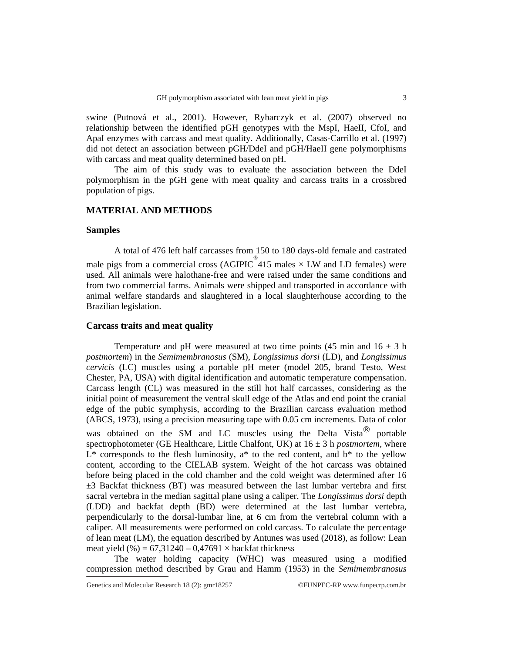swine (Putnová et al., 2001). However, Rybarczyk et al. (2007) observed no relationship between the identified pGH genotypes with the MspI, HaeII, CfoI, and ApaI enzymes with carcass and meat quality. Additionally, Casas-Carrillo et al. (1997) did not detect an association between pGH/DdeI and pGH/HaeII gene polymorphisms with carcass and meat quality determined based on pH.

The aim of this study was to evaluate the association between the DdeI polymorphism in the pGH gene with meat quality and carcass traits in a crossbred population of pigs.

#### **MATERIAL AND METHODS**

#### **Samples**

A total of 476 left half carcasses from 150 to 180 days-old female and castrated male pigs from a commercial cross (AGIPIC  $\overset{\circ}{\phantom{0}}$  415 males  $\times$  LW and LD females) were used. All animals were halothane-free and were raised under the same conditions and from two commercial farms. Animals were shipped and transported in accordance with animal welfare standards and slaughtered in a local slaughterhouse according to the Brazilian legislation.

## **Carcass traits and meat quality**

Temperature and pH were measured at two time points (45 min and  $16 \pm 3$  h *postmortem*) in the *Semimembranosus* (SM), *Longissimus dorsi* (LD), and *Longissimus cervicis* (LC) muscles using a portable pH meter (model 205, brand Testo, West Chester, PA, USA) with digital identification and automatic temperature compensation. Carcass length (CL) was measured in the still hot half carcasses, considering as the initial point of measurement the ventral skull edge of the Atlas and end point the cranial edge of the pubic symphysis, according to the Brazilian carcass evaluation method (ABCS, 1973), using a precision measuring tape with 0.05 cm increments. Data of color was obtained on the SM and LC muscles using the Delta Vista<sup>®</sup> portable spectrophotometer (GE Healthcare, Little Chalfont, UK) at  $16 \pm 3$  h *postmortem*, where  $L^*$  corresponds to the flesh luminosity,  $a^*$  to the red content, and  $b^*$  to the yellow content, according to the CIELAB system. Weight of the hot carcass was obtained before being placed in the cold chamber and the cold weight was determined after 16 ±3 Backfat thickness (BT) was measured between the last lumbar vertebra and first sacral vertebra in the median sagittal plane using a caliper. The *Longissimus dorsi* depth (LDD) and backfat depth (BD) were determined at the last lumbar vertebra, perpendicularly to the dorsal-lumbar line, at 6 cm from the vertebral column with a caliper. All measurements were performed on cold carcass. To calculate the percentage of lean meat (LM), the equation described by Antunes was used (2018), as follow: Lean meat yield  $(\%)=67,31240-0,47691\times$  backfat thickness

The water holding capacity (WHC) was measured using a modified compression method described by Grau and Hamm (1953) in the *Semimembranosus*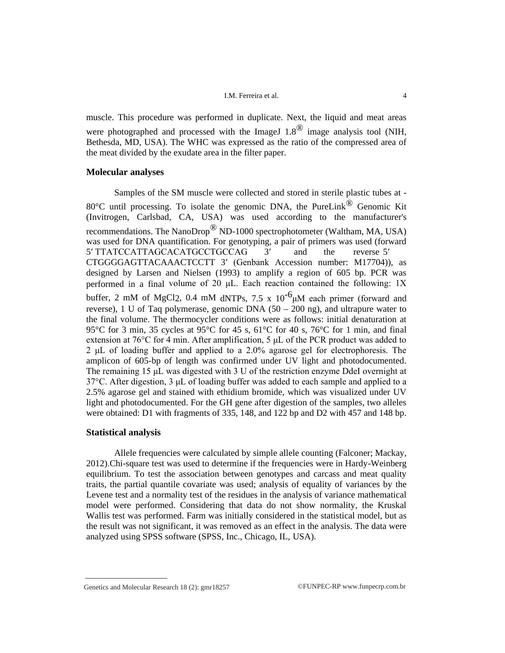#### I.M. Ferreira et al. 4

muscle. This procedure was performed in duplicate. Next, the liquid and meat areas were photographed and processed with the ImageJ  $1.8^{\circledR}$  image analysis tool (NIH, Bethesda, MD, USA). The WHC was expressed as the ratio of the compressed area of the meat divided by the exudate area in the filter paper.

## **Molecular analyses**

Samples of the SM muscle were collected and stored in sterile plastic tubes at - 80 $^{\circ}$ C until processing. To isolate the genomic DNA, the PureLink<sup>®</sup> Genomic Kit (Invitrogen, Carlsbad, CA, USA) was used according to the manufacturer's recommendations. The NanoDrop<sup>®</sup> ND-1000 spectrophotometer (Waltham, MA, USA) was used for DNA quantification. For genotyping, a pair of primers was used (forward 5′ TTATCCATTAGCACATGCCTGCCAG 3′ and the reverse 5′ CTGGGGAGTTACAAACTCCTT 3′ (Genbank Accession number: M17704)), as designed by Larsen and Nielsen (1993) to amplify a region of 605 bp. PCR was performed in a final volume of 20  $\mu$ L. Each reaction contained the following: 1X buffer, 2 mM of MgCl<sub>2</sub>, 0.4 mM dNTPs, 7.5 x  $10^{-6}$  $\mu$ M each primer (forward and reverse), 1 U of Taq polymerase, genomic DNA  $(50 - 200)$  ng), and ultrapure water to the final volume. The thermocycler conditions were as follows: initial denaturation at 95°C for 3 min, 35 cycles at 95°C for 45 s, 61°C for 40 s, 76°C for 1 min, and final extension at 76°C for 4 min. After amplification, 5 μL of the PCR product was added to 2 μL of loading buffer and applied to a 2.0% agarose gel for electrophoresis. The amplicon of 605-bp of length was confirmed under UV light and photodocumented. The remaining 15 μL was digested with 3 U of the restriction enzyme DdeI overnight at 37°C. After digestion, 3 μL of loading buffer was added to each sample and applied to a 2.5% agarose gel and stained with ethidium bromide, which was visualized under UV light and photodocumented. For the GH gene after digestion of the samples, two alleles were obtained: D1 with fragments of 335, 148, and 122 bp and D2 with 457 and 148 bp.

## **Statistical analysis**

Allele frequencies were calculated by simple allele counting (Falconer; Mackay, 2012).Chi-square test was used to determine if the frequencies were in Hardy-Weinberg equilibrium. To test the association between genotypes and carcass and meat quality traits, the partial quantile covariate was used; analysis of equality of variances by the Levene test and a normality test of the residues in the analysis of variance mathematical model were performed. Considering that data do not show normality, the Kruskal Wallis test was performed. Farm was initially considered in the statistical model, but as the result was not significant, it was removed as an effect in the analysis. The data were analyzed using SPSS software (SPSS, Inc., Chicago, IL, USA).

Genetics and Molecular Research 18 (2): gmr18257 ©FUNPEC-RP [www.funpecrp.com.br](http://www.funpecrp.com.br)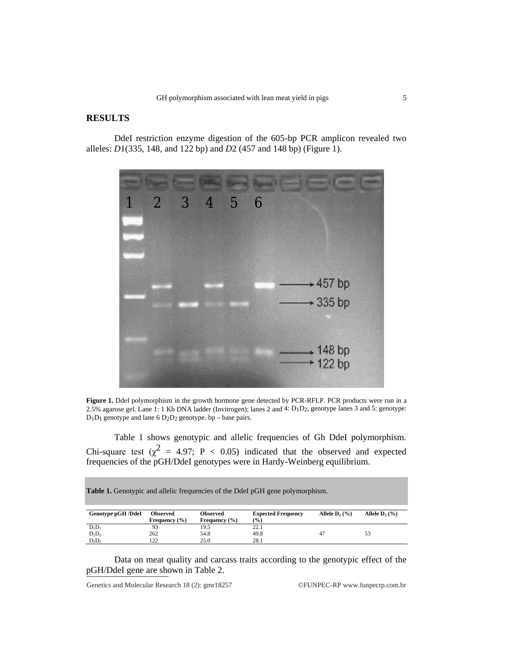# **RESULTS**

DdeI restriction enzyme digestion of the 605-bp PCR amplicon revealed two alleles: *D*1(335, 148, and 122 bp) and *D*2 (457 and 148 bp) (Figure 1).



**Figure 1.** DdeI polymorphism in the growth hormone gene detected by PCR-RFLP. PCR products were run in a 2.5% agarose gel. Lane 1: 1 Kb DNA ladder (Invitrogen); lanes 2 and 4: D1D2, genotype lanes 3 and 5: genotype: D1D1 genotype and lane 6 D2D2 genotype. bp – base pairs.

Table 1 shows genotypic and allelic frequencies of Gh DdeI polymorphism. Chi-square test ( $\chi^2$  = 4.97; P < 0.05) indicated that the observed and expected frequencies of the pGH/DdeI genotypes were in Hardy-Weinberg equilibrium.

**Table 1.** Genotypic and allelic frequencies of the DdeI pGH gene polymorphism.

| Genotype pGH /DdeI | <b>Observed</b><br>Frequency $(\% )$ | Observed<br>Frequency $(% )$ | <b>Expected Frequency</b><br>(%) | Allele $D_1$ (%) | Allele $D_2$ (%) |
|--------------------|--------------------------------------|------------------------------|----------------------------------|------------------|------------------|
| $D_1D_1$           | 93                                   | 19.5                         | 22.1                             |                  |                  |
| $D_1D_2$           | 262                                  | 54.8                         | 49.8                             |                  | 53               |
| $D_2D_2$           | 122                                  | 25.0                         | 28.1                             |                  |                  |

Data on meat quality and carcass traits according to the genotypic effect of the pGH/DdeI gene are shown in Table 2.

Genetics and Molecular Research 18 (2): gmr18257 ©FUNPEC-RP [www.funpecrp.com.br](http://www.funpecrp.com.br)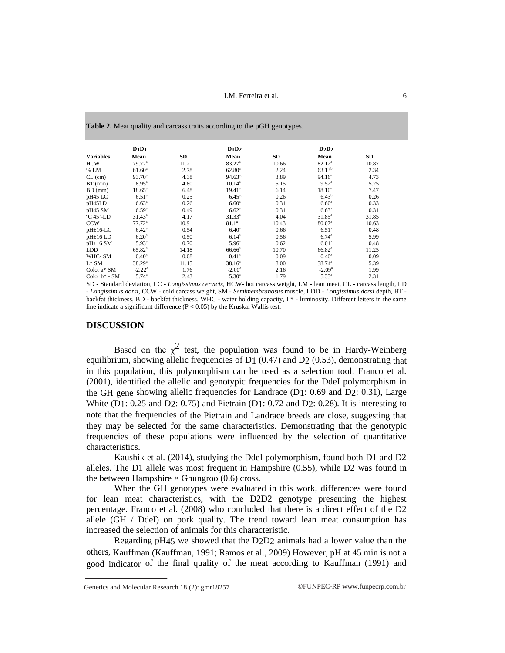**Table 2.** Meat quality and carcass traits according to the pGH genotypes.

|                  | $D_1D_1$          |           | D1D2               |           | D2D2               |           |  |
|------------------|-------------------|-----------|--------------------|-----------|--------------------|-----------|--|
| <b>Variables</b> | Mean              | <b>SD</b> | Mean               | <b>SD</b> | Mean               | <b>SD</b> |  |
| <b>HCW</b>       | $79.72^a$         | 11.2      | 83.27 <sup>a</sup> | 10.66     | $82.12^a$          | 10.87     |  |
| % LM             | $61.60^a$         | 2.78      | $62.80^a$          | 2.24      | $63.13^{b}$        | 2.34      |  |
| $CL$ (cm)        | $93.70^a$         | 4.38      | $94.63^{ab}$       | 3.89      | 94.16 <sup>a</sup> | 4.73      |  |
| $BT$ (mm)        | $8.95^{\circ}$    | 4.80      | $10.14^a$          | 5.15      | $9.52^{\rm a}$     | 5.25      |  |
| BD (mm)          | $18.65^{\circ}$   | 6.48      | $19.41^a$          | 6.14      | $18.10^{a}$        | 7.47      |  |
| pH45 LC          | 6.51 <sup>a</sup> | 0.25      | $6.45^{ab}$        | 0.26      | $6.43^b$           | 0.26      |  |
| pH45LD           | $6.63^{a}$        | 0.26      | 6.60 <sup>a</sup>  | 0.31      | 6.60 <sup>a</sup>  | 0.33      |  |
| pH45 SM          | $6.59^{a}$        | 0.49      | $6.62^{\rm a}$     | 0.31      | $6.63^{a}$         | 0.31      |  |
| $°C$ 45'-LD      | $31.43^a$         | 4.17      | $31.33^a$          | 4.04      | $31.85^{\circ}$    | 31.85     |  |
| <b>CCW</b>       | $77.72^a$         | 10.9      | 81.1 <sup>a</sup>  | 10.43     | 80.07 <sup>a</sup> | 10.63     |  |
| $pH \pm 16$ -LC  | $6.42^{\rm a}$    | 0.54      | 6.40 <sup>a</sup>  | 0.66      | 6.51 <sup>a</sup>  | 0.48      |  |
| $pH\pm 16LD$     | $6.20^{\rm a}$    | 0.50      | $6.14^a$           | 0.56      | $6.74^{\circ}$     | 5.99      |  |
| $pH\pm 16$ SM    | 5.93 <sup>a</sup> | 0.70      | $5.96^{\circ}$     | 0.62      | 6.01 <sup>a</sup>  | 0.48      |  |
| <b>LDD</b>       | $65.82^{\circ}$   | 14.18     | $66.66^a$          | 10.70     | $66.82^{\rm a}$    | 11.25     |  |
| WHC- SM          | $0.40^{\circ}$    | 0.08      | $0.41^{\rm a}$     | 0.09      | $0.40^{\rm a}$     | 0.09      |  |
| $L^*SM$          | $38.29^{\circ}$   | 11.15     | $38.16^a$          | 8.00      | $38.74^a$          | 5.39      |  |
| Color $a^*$ SM   | $-2.22^{\rm a}$   | 1.76      | $-2.00^{\rm a}$    | 2.16      | $-2.09^{\rm a}$    | 1.99      |  |
| Color $b^*$ - SM | $5.74^{a}$        | 2.43      | $5.30^{a}$         | 1.79      | $5.33^{a}$         | 2.31      |  |

SD - Standard deviation, LC - *Longissimus cervicis*, HCW- hot carcass weight, LM - lean meat, CL - carcass length, LD - *Longissimus dorsi*, CCW - cold carcass weight, SM - *Semimembranosus* muscle, LDD - *Longissimus dorsi* depth, BT backfat thickness, BD - backfat thickness, WHC - water holding capacity, L\* - luminosity. Different letters in the same line indicate a significant difference  $(P < 0.05)$  by the Kruskal Wallis test.

#### **DISCUSSION**

Based on the  $\chi^2$  test, the population was found to be in Hardy-Weinberg equilibrium, showing allelic frequencies of  $D1 (0.47)$  and  $D2 (0.53)$ , demonstrating that in this population, this polymorphism can be used as a selection tool. Franco et al. (2001), identified the allelic and genotypic frequencies for the DdeI polymorphism in the GH gene showing allelic frequencies for Landrace (D1: 0.69 and D2: 0.31), Large White  $(D1: 0.25$  and  $D2: 0.75$ ) and Pietrain  $(D1: 0.72$  and  $D2: 0.28$ ). It is interesting to note that the frequencies of the Pietrain and Landrace breeds are close, suggesting that they may be selected for the same characteristics. Demonstrating that the genotypic frequencies of these populations were influenced by the selection of quantitative characteristics.

Kaushik et al. (2014), studying the DdeI polymorphism, found both D1 and D2 alleles. The D1 allele was most frequent in Hampshire (0.55), while D2 was found in the between Hampshire  $\times$  Ghungroo (0.6) cross.

When the GH genotypes were evaluated in this work, differences were found for lean meat characteristics, with the D2D2 genotype presenting the highest percentage. Franco et al. (2008) who concluded that there is a direct effect of the D2 allele (GH / DdeI) on pork quality. The trend toward lean meat consumption has increased the selection of animals for this characteristic.

Regarding pH45 we showed that the D2D2 animals had a lower value than the others, Kauffman (Kauffman, 1991; Ramos et al., 2009) However, pH at 45 min is not a good indicator of the final quality of the meat according to Kauffman (1991) and

Genetics and Molecular Research 18 (2): gmr18257 ©FUNPEC-RP [www.funpecrp.com.br](http://www.funpecrp.com.br)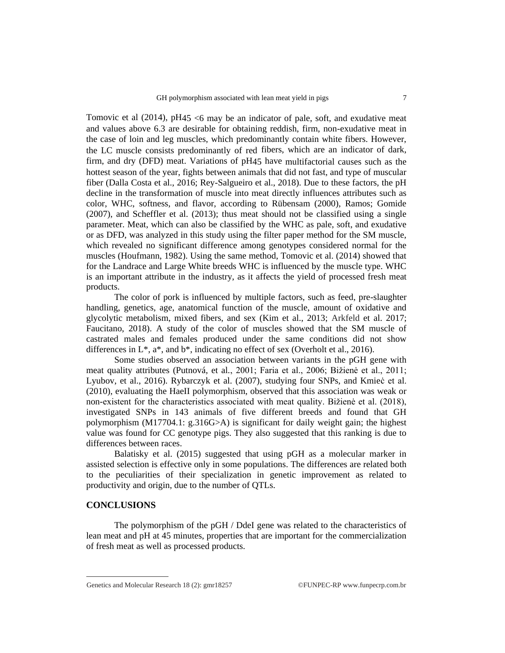Tomovic et al  $(2014)$ , pH45 <6 may be an indicator of pale, soft, and exudative meat and values above 6.3 are desirable for obtaining reddish, firm, non-exudative meat in the case of loin and leg muscles, which predominantly contain white fibers. However, the LC muscle consists predominantly of red fibers, which are an indicator of dark, firm, and dry (DFD) meat. Variations of pH45 have multifactorial causes such as the hottest season of the year, fights between animals that did not fast, and type of muscular fiber (Dalla Costa et al., 2016; Rey-Salgueiro et al., 2018). Due to these factors, the pH decline in the transformation of muscle into meat directly influences attributes such as color, WHC, softness, and flavor, according to Rübensam (2000), Ramos; Gomide (2007), and Scheffler et al. (2013); thus meat should not be classified using a single parameter. Meat, which can also be classified by the WHC as pale, soft, and exudative or as DFD, was analyzed in this study using the filter paper method for the SM muscle, which revealed no significant difference among genotypes considered normal for the muscles (Houfmann, 1982). Using the same method, Tomovic et al. (2014) showed that for the Landrace and Large White breeds WHC is influenced by the muscle type. WHC is an important attribute in the industry, as it affects the yield of processed fresh meat products.

The color of pork is influenced by multiple factors, such as feed, pre-slaughter handling, genetics, age, anatomical function of the muscle, amount of oxidative and glycolytic metabolism, mixed fibers, and sex (Kim et al., 2013; Arkfeld et al. 2017; Faucitano, 2018). A study of the color of muscles showed that the SM muscle of castrated males and females produced under the same conditions did not show differences in  $L^*$ ,  $a^*$ , and  $b^*$ , indicating no effect of sex (Overholt et al., 2016).

Some studies observed an association between variants in the pGH gene with meat quality attributes (Putnová, et al*.*, 2001; Faria et al., 2006; Bižienė et al., 2011; Lyubov, et al., 2016). Rybarczyk et al. (2007), studying four SNPs, and Kmieċ et al. (2010), evaluating the HaeII polymorphism, observed that this association was weak or non-existent for the characteristics associated with meat quality. Bižienė et al. (2018), investigated SNPs in 143 animals of five different breeds and found that GH polymorphism (M17704.1: g.316G>A) is significant for daily weight gain; the highest value was found for CC genotype pigs. They also suggested that this ranking is due to differences between races.

Balatisky et al. (2015) suggested that using pGH as a molecular marker in assisted selection is effective only in some populations. The differences are related both to the peculiarities of their specialization in genetic improvement as related to productivity and origin, due to the number of QTLs.

## **CONCLUSIONS**

The polymorphism of the pGH / DdeI gene was related to the characteristics of lean meat and pH at 45 minutes, properties that are important for the commercialization of fresh meat as well as processed products.

Genetics and Molecular Research 18 (2): gmr18257 ©FUNPEC-RP [www.funpecrp.com.br](http://www.funpecrp.com.br)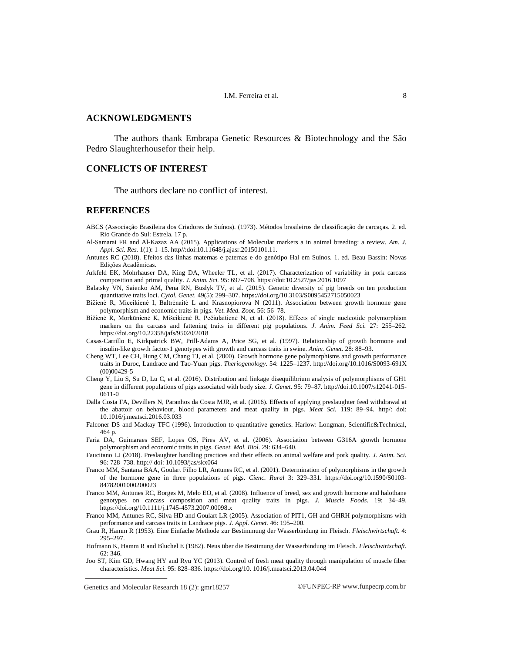# **ACKNOWLEDGMENTS**

The authors thank Embrapa Genetic Resources & Biotechnology and the São Pedro Slaughterhousefor their help.

## **CONFLICTS OF INTEREST**

The authors declare no conflict of interest.

#### **REFERENCES**

- ABCS (Associação Brasileira dos Criadores de Suínos). (1973). Métodos brasileiros de classificação de carcaças. 2. ed. Rio Grande do Sul: Estrela. 17 p.
- Al-Samarai FR and Al-Kazaz AA (2015). Applications of Molecular markers a in animal breeding: a review. *Am. J. Appl. Sci. Res.* 1(1): 1–15. http//:doi:10.11648/j.ajasr.20150101.11.
- Antunes RC (2018). Efeitos das linhas maternas e paternas e do genótipo Hal em Suínos. 1. ed. Beau Bassin: Novas Edições Acadêmicas.
- Arkfeld EK, Mohrhauser DA, King DA, Wheeler TL, et al. (2017). Characterization of variability in pork carcass composition and primal quality. *J. Anim. Sci.* 95: 697–708.<https://doi:10.2527/jas.2016.1097>
- Balatsky VN, Saienko AM, Pena RN, Buslyk TV, et al. (2015). Genetic diversity of pig breeds on ten production quantitative traits loci. *Cytol. Genet.* 49(5): 299–307.<https://doi.org/10.3103/S0095452715050023>
- Bižienė R, Miceikienė I, Baltrėnaitė L and Krasnopiorova N (2011). Association between growth hormone gene polymorphism and economic traits in pigs. *Vet. Med. Zoot.* 56: 56–78.
- Bižienė R, Morkūnienė K, Mišeikienė R, Pečiulaitienė N, et al. (2018). Effects of single nucleotide polymorphism markers on the carcass and fattening traits in different pig populations. *J. Anim. Feed Sci.* 27: 255–262. <https://doi.org/10.22358/jafs/95020/2018>
- Casas‐Carrillo E, Kirkpatrick BW, Prill‐Adams A, Price SG, et al. (1997). Relationship of growth hormone and insulin‐like growth factor‐1 genotypes with growth and carcass traits in swine. *Anim. Genet.* 28: 88–93.
- Cheng WT, Lee CH, Hung CM, Chang TJ, et al. (2000). Growth hormone gene polymorphisms and growth performance traits in Duroc, Landrace and Tao-Yuan pigs. *Theriogenology*. 54: 1225–1237. <http://doi.org/10.1016/S0093-691X> (00)00429-5
- Cheng Y, Liu S, Su D, Lu C, et al. (2016). Distribution and linkage disequilibrium analysis of polymorphisms of GH1 gene in different populations of pigs associated with body size. *J. Genet.* 95: 79–87.<http://doi.10.1007/s12041-015-> 0611-0
- Dalla Costa FA, Devillers N, Paranhos da Costa MJR, et al. (2016). Effects of applying preslaughter feed withdrawal at the abattoir on behaviour, blood parameters and meat quality in pigs. *Meat Sci.* 119: 89–94. http/: doi: 10.1016/j.meatsci.2016.03.033
- Falconer DS and Mackay TFC (1996). Introduction to quantitative genetics. Harlow: Longman, Scientific&Technical, 464 p.
- Faria DA, Guimaraes SEF, Lopes OS, Pires AV, et al. (2006). Association between G316A growth hormone polymorphism and economic traits in pigs. *Genet. Mol. Biol.* 29: 634–640.
- Faucitano LJ (2018). Preslaughter handling practices and their effects on animal welfare and pork quality. *J. Anim. Sci.* 96: 728–738. <http://>doi: 10.1093/jas/skx064
- Franco MM, Santana BAA, Goulart Filho LR, Antunes RC, et al. (2001). Determination of polymorphisms in the growth of the hormone gene in three populations of pigs. *Cienc. Rural* 3: 329–331. <https://doi.org/10.1590/S0103-> 84782001000200023
- Franco MM, Antunes RC, Borges M, Melo EO, et al. (2008). Influence of breed, sex and growth hormone and halothane genotypes on carcass composition and meat quality traits in pigs. *J. Muscle Foods*. 19: 34–49. <https://doi.org/10.1111/j.1745-4573.2007.00098.x>
- Franco MM, Antunes RC, Silva HD and Goulart LR (2005). Association of PIT1, GH and GHRH polymorphisms with performance and carcass traits in Landrace pigs. *J. Appl. Genet.* 46: 195–200.
- Grau R, Hamm R (1953). Eine Einfache Methode zur Bestimmung der Wasserbindung im Fleisch. *Fleischwirtschaft.* 4: 295–297.
- Hofmann K, Hamm R and Bluchel E (1982). Neus über die Bestimung der Wasserbindung im Fleisch. *Fleischwirtschaft.* 62: 346.
- Joo ST, Kim GD, Hwang HY and Ryu YC (2013). Control of fresh meat quality through manipulation of muscle fiber characteristics. *Meat Sci.* 95: 828–836. <https://doi.org/10.> 1016/j.meatsci.2013.04.044

Genetics and Molecular Research 18 (2): gmr18257 ©FUNPEC-RP [www.funpecrp.com.br](http://www.funpecrp.com.br)